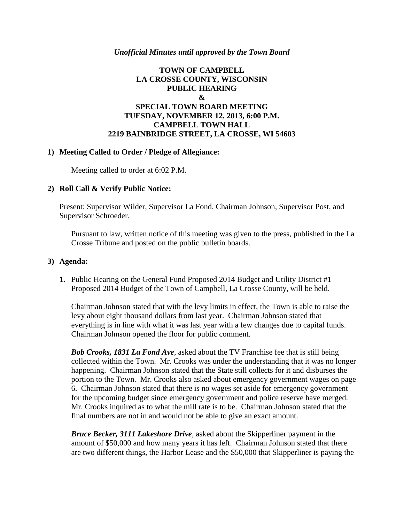#### *Unofficial Minutes until approved by the Town Board*

### **TOWN OF CAMPBELL LA CROSSE COUNTY, WISCONSIN PUBLIC HEARING & SPECIAL TOWN BOARD MEETING TUESDAY, NOVEMBER 12, 2013, 6:00 P.M. CAMPBELL TOWN HALL 2219 BAINBRIDGE STREET, LA CROSSE, WI 54603**

### **1) Meeting Called to Order / Pledge of Allegiance:**

Meeting called to order at 6:02 P.M.

#### **2) Roll Call & Verify Public Notice:**

Present: Supervisor Wilder, Supervisor La Fond, Chairman Johnson, Supervisor Post, and Supervisor Schroeder.

Pursuant to law, written notice of this meeting was given to the press, published in the La Crosse Tribune and posted on the public bulletin boards.

#### **3) Agenda:**

**1.** Public Hearing on the General Fund Proposed 2014 Budget and Utility District #1 Proposed 2014 Budget of the Town of Campbell, La Crosse County, will be held.

Chairman Johnson stated that with the levy limits in effect, the Town is able to raise the levy about eight thousand dollars from last year. Chairman Johnson stated that everything is in line with what it was last year with a few changes due to capital funds. Chairman Johnson opened the floor for public comment.

*Bob Crooks, 1831 La Fond Ave*, asked about the TV Franchise fee that is still being collected within the Town. Mr. Crooks was under the understanding that it was no longer happening. Chairman Johnson stated that the State still collects for it and disburses the portion to the Town. Mr. Crooks also asked about emergency government wages on page 6. Chairman Johnson stated that there is no wages set aside for emergency government for the upcoming budget since emergency government and police reserve have merged. Mr. Crooks inquired as to what the mill rate is to be. Chairman Johnson stated that the final numbers are not in and would not be able to give an exact amount.

*Bruce Becker, 3111 Lakeshore Drive*, asked about the Skipperliner payment in the amount of \$50,000 and how many years it has left. Chairman Johnson stated that there are two different things, the Harbor Lease and the \$50,000 that Skipperliner is paying the